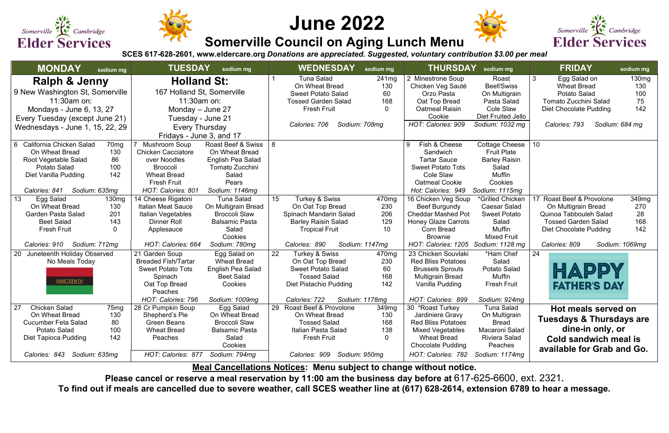



# **June 2022**



# **Somerville Council on Aging Lunch Menu**

**SCES 617-628-2601, [www.eldercare.org](about:blank)** *Donations are appreciated. Suggested, voluntary contribution \$3.00 per meal*

| <b>MONDAY</b><br>sodium mg                                                                                                                                                                       | <b>TUESDAY</b><br>sodium mg                                                                                                                                                                                                                                                                      |    | <b>WEDNESDAY</b>                                                                                                                                              | sodium mg                                                                        | <b>THURSDAY</b>                                                                                                                                                        | sodium mg                                                                                                                 | <b>FRIDAY</b><br>sodium mg                                                                                                                                                         |
|--------------------------------------------------------------------------------------------------------------------------------------------------------------------------------------------------|--------------------------------------------------------------------------------------------------------------------------------------------------------------------------------------------------------------------------------------------------------------------------------------------------|----|---------------------------------------------------------------------------------------------------------------------------------------------------------------|----------------------------------------------------------------------------------|------------------------------------------------------------------------------------------------------------------------------------------------------------------------|---------------------------------------------------------------------------------------------------------------------------|------------------------------------------------------------------------------------------------------------------------------------------------------------------------------------|
| <b>Ralph &amp; Jenny</b><br>9 New Washington St, Somerville                                                                                                                                      | <b>Holland St:</b><br>167 Holland St, Somerville                                                                                                                                                                                                                                                 |    | <b>Tuna Salad</b><br>On Wheat Bread<br><b>Sweet Potato Salad</b>                                                                                              | 241mg<br>130<br>60                                                               | 2 Minestrone Soup<br>Chicken Veg Sauté<br>Orzo Pasta                                                                                                                   | Roast<br>Beef/Swiss<br>On Multigrain                                                                                      | 3<br>Egg Salad on<br>130mg<br><b>Wheat Bread</b><br>130<br>Potato Salad<br>100                                                                                                     |
| 11:30am on:<br>Mondays - June 6, 13, 27                                                                                                                                                          | 11:30am on:<br>Monday $-$ June 27                                                                                                                                                                                                                                                                |    | <b>Tossed Garden Salad</b><br><b>Fresh Fruit</b>                                                                                                              | 168<br><sup>0</sup>                                                              | Oat Top Bread<br><b>Oatmeal Raisin</b><br>Cookie                                                                                                                       | Pasta Salad<br><b>Cole Slaw</b><br>Diet Fruited Jello                                                                     | <b>Tomato Zucchini Salad</b><br>75<br>142<br><b>Diet Chocolate Pudding</b>                                                                                                         |
| Every Tuesday (except June 21)<br>Wednesdays - June 1, 15, 22, 29                                                                                                                                | Tuesday - June 21<br><b>Every Thursday</b><br>Fridays - June 3, and 17                                                                                                                                                                                                                           |    | Calories: 706                                                                                                                                                 | Sodium: 708mg                                                                    | HOT: Calories: 909                                                                                                                                                     | Sodium: 1032 mg                                                                                                           | Calories: 793<br>Sodium: 684 mg                                                                                                                                                    |
| California Chicken Salad<br>6<br>70 <sub>mg</sub><br>On Wheat Bread<br>130<br>Root Vegetable Salad<br>86<br>Potato Salad<br>100<br>142<br>Diet Vanilla Pudding<br>Calories: 841<br>Sodium: 635mg | <b>Roast Beef &amp; Swiss</b><br><b>Mushroom Soup</b><br><b>Chicken Cacciatore</b><br>On Wheat Bread<br>over Noodles<br><b>English Pea Salad</b><br>Tomato Zucchini<br><b>Broccoli</b><br><b>Wheat Bread</b><br>Salad<br>Pears<br><b>Fresh Fruit</b><br>HOT: Calories: 801<br>Sodium: 1146mg     | 8  |                                                                                                                                                               |                                                                                  | Fish & Cheese<br>Sandwich<br><b>Tartar Sauce</b><br><b>Sweet Potato Tots</b><br>Cole Slaw<br><b>Oatmeal Cookie</b><br>Hot: Calories: 949                               | <b>Cottage Cheese</b><br><b>Fruit Plate</b><br><b>Barley Raisin</b><br>Salad<br>Muffin<br>Cookies<br>Sodium: 1115mg       | 10                                                                                                                                                                                 |
| 13<br>Egg Salad<br>130 <sub>mg</sub><br>On Wheat Bread<br>130<br>Garden Pasta Salad<br>201<br>143<br><b>Beet Salad</b><br><b>Fresh Fruit</b><br>0                                                | <b>Tuna Salad</b><br>14 Cheese Rigatoni<br><b>Italian Meat Sauce</b><br>On Multigrain Bread<br><b>Broccoli Slaw</b><br>Italian Vegetables<br><b>Balsamic Pasta</b><br>Dinner Roll<br>Salad<br>Applesauce<br>Cookies                                                                              | 15 | <b>Turkey &amp; Swiss</b><br>On Oat Top Bread<br>Spinach Mandarin Salad<br><b>Barley Raisin Salad</b><br><b>Tropical Fruit</b>                                | 470 <sub>mg</sub><br>230<br>206<br>129<br>10                                     | 16 Chicken Veg Soup<br>Beef Burgundy<br><b>Cheddar Mashed Pot</b><br><b>Honey Glaze Carrots</b><br><b>Corn Bread</b><br><b>Brownie</b>                                 | *Grilled Chicken<br><b>Caesar Salad</b><br><b>Sweet Potato</b><br>Salad<br>Muffin<br><b>Mixed Fruit</b>                   | 17 Roast Beef & Provolone<br>349 <sub>mg</sub><br>On Multigrain Bread<br>270<br>Quinoa Tabbouleh Salad<br>28<br>168<br><b>Tossed Garden Salad</b><br>142<br>Diet Chocolate Pudding |
| Calories: 910<br>Sodium: 712mg<br>Juneteenth Holiday Observed<br>20<br>No Meals Today<br><b>JUNETEENTH</b>                                                                                       | HOT: Calories: 664<br>Sodium: 780mg<br>Egg Salad on<br>21 Garden Soup<br><b>Breaded Fish/Tartar</b><br><b>Wheat Bread</b><br><b>Sweet Potato Tots</b><br><b>English Pea Salad</b><br>Spinach<br><b>Beet Salad</b><br>Oat Top Bread<br>Cookies<br>Peaches<br>HOT: Calories: 796<br>Sodium: 1009mg | 22 | Calories: 890<br><b>Turkey &amp; Swiss</b><br>On Oat Top Bread<br><b>Sweet Potato Salad</b><br><b>Tossed Salad</b><br>Diet Pistachio Pudding<br>Calories: 722 | Sodium: 1147mg<br>470 <sub>mg</sub><br>230<br>60<br>168<br>142<br>Sodium: 1178mg | HOT: Calories: 1205<br>23 Chicken Souvlaki<br><b>Red Bliss Potatoes</b><br><b>Brussels Sprouts</b><br><b>Multigrain Bread</b><br>Vanilla Pudding<br>HOT: Calories: 899 | Sodium: 1128 mg<br>*Ham Chef<br>Salad<br><b>Potato Salad</b><br>Muffin<br><b>Fresh Fruit</b><br>Sodium: 924mg             | Calories: 809<br>Sodium: 1069mg<br>24<br>HAPPY<br><b>FATHER'S DAY</b>                                                                                                              |
| 27 Chicken Salad<br>75mg<br>130<br>On Wheat Bread<br><b>Cucumber Feta Salad</b><br>80<br>100<br><b>Potato Salad</b><br>142<br>Diet Tapioca Pudding<br>Calories: 843<br>Sodium: 635mg             | 28 Cr Pumpkin Soup<br>Egg Salad<br>Shepherd's Pie<br>On Wheat Bread<br><b>Green Beans</b><br><b>Broccoli Slaw</b><br><b>Wheat Bread</b><br><b>Balsamic Pasta</b><br>Salad<br>Peaches<br>Cookies<br>HOT: Calories: 877<br>Sodium: 794mg                                                           |    | 29 Roast Beef & Provolone<br>On Wheat Bread<br><b>Tossed Salad</b><br>Italian Pasta Salad<br><b>Fresh Fruit</b><br>Calories: 909 Sodium: 950mg                | 349mg<br>130<br>168<br>138<br><sup>0</sup>                                       | 30 *Roast Turkey<br>Jardiniere Gravy<br><b>Red Bliss Potatoes</b><br><b>Mixed Vegetables</b><br><b>Wheat Bread</b><br><b>Chocolate Pudding</b><br>HOT: Calories: 782   | <b>Tuna Salad</b><br>On Multigrain<br><b>Bread</b><br>Macaroni Salad<br><b>Riviera Salad</b><br>Peaches<br>Sodium: 1174mg | Hot meals served on<br><b>Tuesdays &amp; Thursdays are</b><br>dine-in only, or<br>Cold sandwich meal is<br>available for Grab and Go.                                              |

**Meal Cancellations Notices: Menu subject to change without notice.**

**Please cancel or reserve a meal reservation by 11:00 am the business day before at** 617-625-6600, ext. 2321**.** 

**To find out if meals are cancelled due to severe weather, call SCES weather line at (617) 628-2614, extension 6789 to hear a message.**